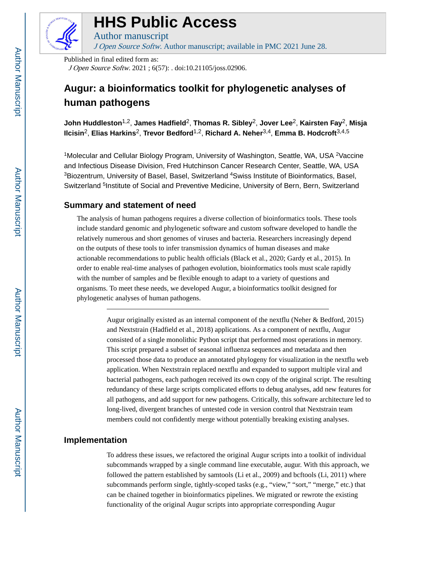

# **HHS Public Access**

J Open Source Softw. Author manuscript; available in PMC 2021 June 28.

Published in final edited form as: J Open Source Softw. 2021 ; 6(57): . doi:10.21105/joss.02906.

Author manuscript

# **Augur: a bioinformatics toolkit for phylogenetic analyses of human pathogens**

**John Huddleston**1,2, **James Hadfield**2, **Thomas R. Sibley**2, **Jover Lee**2, **Kairsten Fay**2, **Misja Ilcisin**2, **Elias Harkins**2, **Trevor Bedford**1,2, **Richard A. Neher**3,4, **Emma B. Hodcroft**3,4,5

<sup>1</sup>Molecular and Cellular Biology Program, University of Washington, Seattle, WA, USA <sup>2</sup>Vaccine and Infectious Disease Division, Fred Hutchinson Cancer Research Center, Seattle, WA, USA <sup>3</sup>Biozentrum, University of Basel, Basel, Switzerland <sup>4</sup>Swiss Institute of Bioinformatics, Basel, Switzerland <sup>5</sup>Institute of Social and Preventive Medicine, University of Bern, Bern, Switzerland

## **Summary and statement of need**

The analysis of human pathogens requires a diverse collection of bioinformatics tools. These tools include standard genomic and phylogenetic software and custom software developed to handle the relatively numerous and short genomes of viruses and bacteria. Researchers increasingly depend on the outputs of these tools to infer transmission dynamics of human diseases and make actionable recommendations to public health officials (Black et al., 2020; Gardy et al., 2015). In order to enable real-time analyses of pathogen evolution, bioinformatics tools must scale rapidly with the number of samples and be flexible enough to adapt to a variety of questions and organisms. To meet these needs, we developed Augur, a bioinformatics toolkit designed for phylogenetic analyses of human pathogens.

> Augur originally existed as an internal component of the nextflu (Neher & Bedford, 2015) and Nextstrain (Hadfield et al., 2018) applications. As a component of nextflu, Augur consisted of a single monolithic Python script that performed most operations in memory. This script prepared a subset of seasonal influenza sequences and metadata and then processed those data to produce an annotated phylogeny for visualization in the nextflu web application. When Nextstrain replaced nextflu and expanded to support multiple viral and bacterial pathogens, each pathogen received its own copy of the original script. The resulting redundancy of these large scripts complicated efforts to debug analyses, add new features for all pathogens, and add support for new pathogens. Critically, this software architecture led to long-lived, divergent branches of untested code in version control that Nextstrain team members could not confidently merge without potentially breaking existing analyses.

## **Implementation**

To address these issues, we refactored the original Augur scripts into a toolkit of individual subcommands wrapped by a single command line executable, augur. With this approach, we followed the pattern established by samtools (Li et al., 2009) and bcftools (Li, 2011) where subcommands perform single, tightly-scoped tasks (e.g., "view," "sort," "merge," etc.) that can be chained together in bioinformatics pipelines. We migrated or rewrote the existing functionality of the original Augur scripts into appropriate corresponding Augur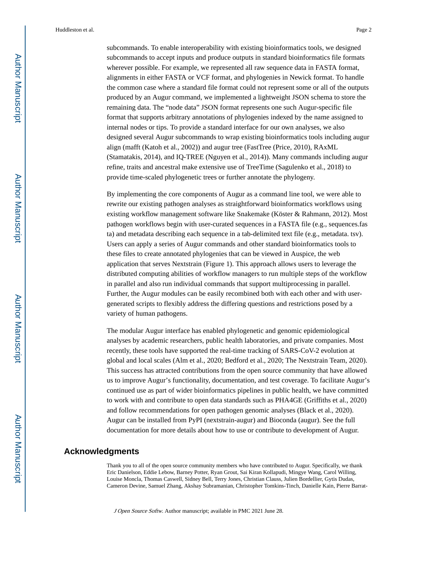Huddleston et al. Page 2

subcommands. To enable interoperability with existing bioinformatics tools, we designed subcommands to accept inputs and produce outputs in standard bioinformatics file formats wherever possible. For example, we represented all raw sequence data in FASTA format, alignments in either FASTA or VCF format, and phylogenies in Newick format. To handle the common case where a standard file format could not represent some or all of the outputs produced by an Augur command, we implemented a lightweight JSON schema to store the remaining data. The "node data" JSON format represents one such Augur-specific file format that supports arbitrary annotations of phylogenies indexed by the name assigned to internal nodes or tips. To provide a standard interface for our own analyses, we also designed several Augur subcommands to wrap existing bioinformatics tools including augur align (mafft (Katoh et al., 2002)) and augur tree (FastTree (Price, 2010), RAxML (Stamatakis, 2014), and IQ-TREE (Nguyen et al., 2014)). Many commands including augur refine, traits and ancestral make extensive use of TreeTime (Sagulenko et al., 2018) to provide time-scaled phylogenetic trees or further annotate the phylogeny.

By implementing the core components of Augur as a command line tool, we were able to rewrite our existing pathogen analyses as straightforward bioinformatics workflows using existing workflow management software like Snakemake (Köster & Rahmann, 2012). Most pathogen workflows begin with user-curated sequences in a FASTA file (e.g., sequences.fas ta) and metadata describing each sequence in a tab-delimited text file (e.g., metadata. tsv). Users can apply a series of Augur commands and other standard bioinformatics tools to these files to create annotated phylogenies that can be viewed in Auspice, the web application that serves Nextstrain (Figure 1). This approach allows users to leverage the distributed computing abilities of workflow managers to run multiple steps of the workflow in parallel and also run individual commands that support multiprocessing in parallel. Further, the Augur modules can be easily recombined both with each other and with usergenerated scripts to flexibly address the differing questions and restrictions posed by a variety of human pathogens.

The modular Augur interface has enabled phylogenetic and genomic epidemiological analyses by academic researchers, public health laboratories, and private companies. Most recently, these tools have supported the real-time tracking of SARS-CoV-2 evolution at global and local scales (Alm et al., 2020; Bedford et al., 2020; The Nextstrain Team, 2020). This success has attracted contributions from the open source community that have allowed us to improve Augur's functionality, documentation, and test coverage. To facilitate Augur's continued use as part of wider bioinformatics pipelines in public health, we have committed to work with and contribute to open data standards such as PHA4GE (Griffiths et al., 2020) and follow recommendations for open pathogen genomic analyses (Black et al., 2020). Augur can be installed from PyPI (nextstrain-augur) and Bioconda (augur). See the full documentation for more details about how to use or contribute to development of Augur.

#### **Acknowledgments**

Thank you to all of the open source community members who have contributed to Augur. Specifically, we thank Eric Danielson, Eddie Lebow, Barney Potter, Ryan Grout, Sai Kiran Kollapudi, Mingye Wang, Carol Willing, Louise Moncla, Thomas Caswell, Sidney Bell, Terry Jones, Christian Clauss, Julien Bordellier, Gytis Dudas, Cameron Devine, Samuel Zhang, Akshay Subramanian, Christopher Tomkins-Tinch, Danielle Kain, Pierre Barrat-

J Open Source Softw. Author manuscript; available in PMC 2021 June 28.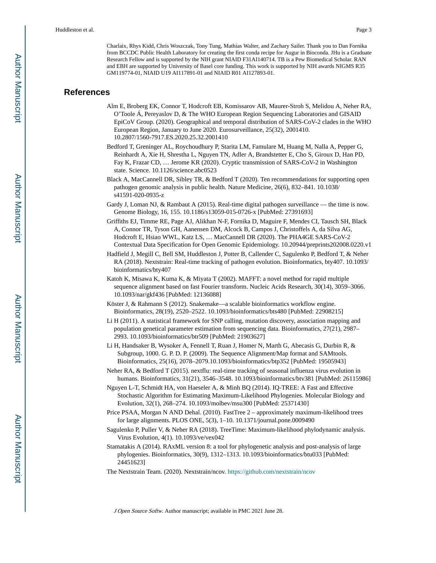Charlaix, Rhys Kidd, Chris Woszczak, Tony Tung, Mathias Walter, and Zachary Sailer. Thank you to Dan Fornika from BCCDC Public Health Laboratory for creating the first conda recipe for Augur in Bioconda. JHu is a Graduate Research Fellow and is supported by the NIH grant NIAID F31AI140714. TB is a Pew Biomedical Scholar. RAN and EBH are supported by University of Basel core funding. This work is supported by NIH awards NIGMS R35 GM119774-01, NIAID U19 AI117891-01 and NIAID R01 AI127893-01.

#### **References**

- Alm E, Broberg EK, Connor T, Hodcroft EB, Komissarov AB, Maurer-Stroh S, Melidou A, Neher RA, O'Toole Á, Pereyaslov D, & The WHO European Region Sequencing Laboratories and GISAID EpiCoV Group. (2020). Geographical and temporal distribution of SARS-CoV-2 clades in the WHO European Region, January to June 2020. Eurosurveillance, 25(32), 2001410. 10.2807/1560-7917.ES.2020.25.32.2001410
- Bedford T, Greninger AL, Roychoudhury P, Starita LM, Famulare M, Huang M, Nalla A, Pepper G, Reinhardt A, Xie H, Shrestha L, Nguyen TN, Adler A, Brandstetter E, Cho S, Giroux D, Han PD, Fay K, Frazar CD, … Jerome KR (2020). Cryptic transmission of SARS-CoV-2 in Washington state. Science. 10.1126/science.abc0523
- Black A, MacCannell DR, Sibley TR, & Bedford T (2020). Ten recommendations for supporting open pathogen genomic analysis in public health. Nature Medicine, 26(6), 832–841. 10.1038/ s41591-020-0935-z
- Gardy J, Loman NJ, & Rambaut A (2015). Real-time digital pathogen surveillance the time is now. Genome Biology, 16, 155. 10.1186/s13059-015-0726-x [PubMed: 27391693]
- Griffiths EJ, Timme RE, Page AJ, Alikhan N-F, Fornika D, Maguire F, Mendes CI, Tausch SH, Black A, Connor TR, Tyson GH, Aanensen DM, Alcock B, Campos J, Christoffels A, da Silva AG, Hodcroft E, Hsiao WWL, Katz LS, … MacCannell DR (2020). The PHA4GE SARS-CoV-2 Contextual Data Specification for Open Genomic Epidemiology. 10.20944/preprints202008.0220.v1
- Hadfield J, Megill C, Bell SM, Huddleston J, Potter B, Callender C, Sagulenko P, Bedford T, & Neher RA (2018). Nextstrain: Real-time tracking of pathogen evolution. Bioinformatics, bty407. 10.1093/ bioinformatics/bty407
- Katoh K, Misawa K, Kuma K, & Miyata T (2002). MAFFT: a novel method for rapid multiple sequence alignment based on fast Fourier transform. Nucleic Acids Research, 30(14), 3059–3066. 10.1093/nar/gkf436 [PubMed: 12136088]
- Köster J, & Rahmann S (2012). Snakemake—a scalable bioinformatics workflow engine. Bioinformatics, 28(19), 2520–2522. 10.1093/bioinformatics/bts480 [PubMed: 22908215]
- Li H (2011). A statistical framework for SNP calling, mutation discovery, association mapping and population genetical parameter estimation from sequencing data. Bioinformatics, 27(21), 2987– 2993. 10.1093/bioinformatics/btr509 [PubMed: 21903627]
- Li H, Handsaker B, Wysoker A, Fennell T, Ruan J, Homer N, Marth G, Abecasis G, Durbin R, & Subgroup, 1000. G. P. D. P. (2009). The Sequence Alignment/Map format and SAMtools. Bioinformatics, 25(16), 2078–2079.10.1093/bioinformatics/btp352 [PubMed: 19505943]
- Neher RA, & Bedford T (2015). nextflu: real-time tracking of seasonal influenza virus evolution in humans. Bioinformatics, 31(21), 3546–3548. 10.1093/bioinformatics/btv381 [PubMed: 26115986]
- Nguyen L-T, Schmidt HA, von Haeseler A, & Minh BQ (2014). IQ-TREE: A Fast and Effective Stochastic Algorithm for Estimating Maximum-Likelihood Phylogenies. Molecular Biology and Evolution, 32(1), 268–274. 10.1093/molbev/msu300 [PubMed: 25371430]
- Price PSAA, Morgan N AND Dehal. (2010). FastTree 2 approximately maximum-likelihood trees for large alignments. PLOS ONE, 5(3), 1–10. 10.1371/journal.pone.0009490
- Sagulenko P, Puller V, & Neher RA (2018). TreeTime: Maximum-likelihood phylodynamic analysis. Virus Evolution, 4(1). 10.1093/ve/vex042
- Stamatakis A (2014). RAxML version 8: a tool for phylogenetic analysis and post-analysis of large phylogenies. Bioinformatics, 30(9), 1312–1313. 10.1093/bioinformatics/btu033 [PubMed: 24451623]
- The Nextstrain Team. (2020). Nextstrain/ncov. <https://github.com/nextstrain/ncov>

J Open Source Softw. Author manuscript; available in PMC 2021 June 28.